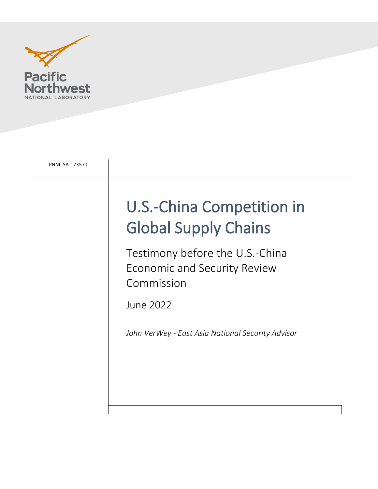

| PNNL-SA-173570 |                                                                                      |
|----------------|--------------------------------------------------------------------------------------|
|                | U.S.-China Competition in<br><b>Global Supply Chains</b>                             |
|                | Testimony before the U.S.-China<br><b>Economic and Security Review</b><br>Commission |
|                | June 2022                                                                            |
|                | John VerWey - East Asia National Security Advisor                                    |
|                |                                                                                      |
|                |                                                                                      |
|                |                                                                                      |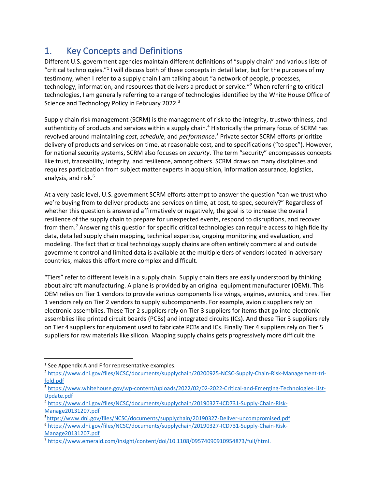### 1. Key Concepts and Definitions

Different U.S. government agencies maintain different definitions of "supply chain" and various lists of "critical technologies."<sup>1</sup> I will discuss both of these concepts in detail later, but for the purposes of my testimony, when I refer to a supply chain I am talking about "a network of people, processes, technology, information, and resources that delivers a product or service."<sup>2</sup> When referring to critical technologies, I am generally referring to a range of technologies identified by the White House Office of Science and Technology Policy in February 2022.<sup>3</sup>

Supply chain risk management (SCRM) is the management of risk to the integrity, trustworthiness, and authenticity of products and services within a supply chain.<sup>4</sup> Historically the primary focus of SCRM has revolved around maintaining *cost*, *schedule*, and *performance*. <sup>5</sup> Private sector SCRM efforts prioritize delivery of products and services on time, at reasonable cost, and to specifications ("to spec"). However, for national security systems, SCRM also focuses on *security*. The term "security" encompasses concepts like trust, traceability, integrity, and resilience, among others. SCRM draws on many disciplines and requires participation from subject matter experts in acquisition, information assurance, logistics, analysis, and risk. 6

At a very basic level, U.S. government SCRM efforts attempt to answer the question "can we trust who we're buying from to deliver products and services on time, at cost, to spec, securely?" Regardless of whether this question is answered affirmatively or negatively, the goal is to increase the overall resilience of the supply chain to prepare for unexpected events, respond to disruptions, and recover from them. <sup>7</sup> Answering this question for specific critical technologies can require access to high fidelity data, detailed supply chain mapping, technical expertise, ongoing monitoring and evaluation, and modeling. The fact that critical technology supply chains are often entirely commercial and outside government control and limited data is available at the multiple tiers of vendors located in adversary countries, makes this effort more complex and difficult.

"Tiers" refer to different levels in a supply chain. Supply chain tiers are easily understood by thinking about aircraft manufacturing. A plane is provided by an original equipment manufacturer (OEM). This OEM relies on Tier 1 vendors to provide various components like wings, engines, avionics, and tires. Tier 1 vendors rely on Tier 2 vendors to supply subcomponents. For example, avionic suppliers rely on electronic assemblies. These Tier 2 suppliers rely on Tier 3 suppliers for items that go into electronic assemblies like printed circuit boards (PCBs) and integrated circuits (ICs). And these Tier 3 suppliers rely on Tier 4 suppliers for equipment used to fabricate PCBs and ICs. Finally Tier 4 suppliers rely on Tier 5 suppliers for raw materials like silicon. Mapping supply chains gets progressively more difficult the

[Manage20131207.pdf](https://www.dni.gov/files/NCSC/documents/supplychain/20190327-ICD731-Supply-Chain-Risk-Manage20131207.pdf)

 $<sup>1</sup>$  See Appendix A and F for representative examples.</sup>

<sup>2</sup> [https://www.dni.gov/files/NCSC/documents/supplychain/20200925-NCSC-Supply-Chain-Risk-Management-tri](https://www.dni.gov/files/NCSC/documents/supplychain/20200925-NCSC-Supply-Chain-Risk-Management-tri-fold.pdf)[fold.pdf](https://www.dni.gov/files/NCSC/documents/supplychain/20200925-NCSC-Supply-Chain-Risk-Management-tri-fold.pdf)

<sup>3</sup> [https://www.whitehouse.gov/wp-content/uploads/2022/02/02-2022-Critical-and-Emerging-Technologies-List-](https://www.whitehouse.gov/wp-content/uploads/2022/02/02-2022-Critical-and-Emerging-Technologies-List-Update.pdf)[Update.pdf](https://www.whitehouse.gov/wp-content/uploads/2022/02/02-2022-Critical-and-Emerging-Technologies-List-Update.pdf)

<sup>4</sup> [https://www.dni.gov/files/NCSC/documents/supplychain/20190327-ICD731-Supply-Chain-Risk-](https://www.dni.gov/files/NCSC/documents/supplychain/20190327-ICD731-Supply-Chain-Risk-Manage20131207.pdf)[Manage20131207.pdf](https://www.dni.gov/files/NCSC/documents/supplychain/20190327-ICD731-Supply-Chain-Risk-Manage20131207.pdf)

<sup>5</sup><https://www.dni.gov/files/NCSC/documents/supplychain/20190327-Deliver-uncompromised.pdf> <sup>6</sup> [https://www.dni.gov/files/NCSC/documents/supplychain/20190327-ICD731-Supply-Chain-Risk-](https://www.dni.gov/files/NCSC/documents/supplychain/20190327-ICD731-Supply-Chain-Risk-Manage20131207.pdf)

<sup>7</sup> [https://www.emerald.com/insight/content/doi/10.1108/09574090910954873/full/html.](https://www.emerald.com/insight/content/doi/10.1108/09574090910954873/full/html)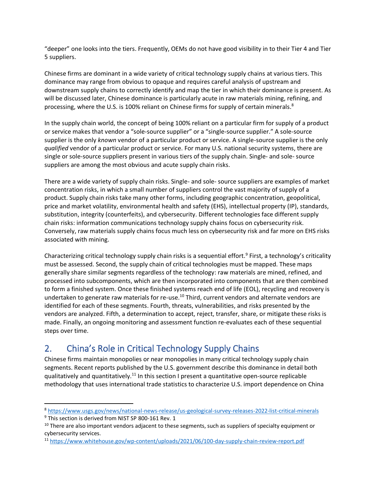"deeper" one looks into the tiers. Frequently, OEMs do not have good visibility in to their Tier 4 and Tier 5 suppliers.

Chinese firms are dominant in a wide variety of critical technology supply chains at various tiers. This dominance may range from obvious to opaque and requires careful analysis of upstream and downstream supply chains to correctly identify and map the tier in which their dominance is present. As will be discussed later, Chinese dominance is particularly acute in raw materials mining, refining, and processing, where the U.S. is 100% reliant on Chinese firms for supply of certain minerals.<sup>8</sup>

In the supply chain world, the concept of being 100% reliant on a particular firm for supply of a product or service makes that vendor a "sole-source supplier" or a "single-source supplier." A sole-source supplier is the only *known* vendor of a particular product or service. A single-source supplier is the only *qualified* vendor of a particular product or service. For many U.S. national security systems, there are single or sole-source suppliers present in various tiers of the supply chain. Single- and sole- source suppliers are among the most obvious and acute supply chain risks.

There are a wide variety of supply chain risks. Single- and sole- source suppliers are examples of market concentration risks, in which a small number of suppliers control the vast majority of supply of a product. Supply chain risks take many other forms, including geographic concentration, geopolitical, price and market volatility, environmental health and safety (EHS), intellectual property (IP), standards, substitution, integrity (counterfeits), and cybersecurity. Different technologies face different supply chain risks: information communications technology supply chains focus on cybersecurity risk. Conversely, raw materials supply chains focus much less on cybersecurity risk and far more on EHS risks associated with mining.

Characterizing critical technology supply chain risks is a sequential effort.<sup>9</sup> First, a technology's criticality must be assessed. Second, the supply chain of critical technologies must be mapped. These maps generally share similar segments regardless of the technology: raw materials are mined, refined, and processed into subcomponents, which are then incorporated into components that are then combined to form a finished system. Once these finished systems reach end of life (EOL), recycling and recovery is undertaken to generate raw materials for re-use.<sup>10</sup> Third, current vendors and alternate vendors are identified for each of these segments. Fourth, threats, vulnerabilities, and risks presented by the vendors are analyzed. Fifth, a determination to accept, reject, transfer, share, or mitigate these risks is made. Finally, an ongoing monitoring and assessment function re-evaluates each of these sequential steps over time.

### 2. China's Role in Critical Technology Supply Chains

Chinese firms maintain monopolies or near monopolies in many critical technology supply chain segments. Recent reports published by the U.S. government describe this dominance in detail both qualitatively and quantitatively.<sup>11</sup> In this section I present a quantitative open-source replicable methodology that uses international trade statistics to characterize U.S. import dependence on China

<sup>8</sup> <https://www.usgs.gov/news/national-news-release/us-geological-survey-releases-2022-list-critical-minerals>

<sup>&</sup>lt;sup>9</sup> This section is derived from NIST SP 800-161 Rev. 1

 $10$  There are also important vendors adjacent to these segments, such as suppliers of specialty equipment or cybersecurity services.

<sup>11</sup> <https://www.whitehouse.gov/wp-content/uploads/2021/06/100-day-supply-chain-review-report.pdf>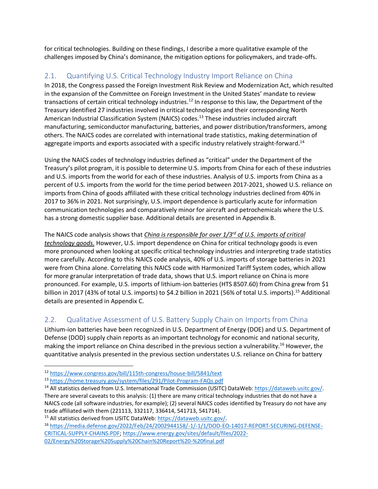for critical technologies. Building on these findings, I describe a more qualitative example of the challenges imposed by China's dominance, the mitigation options for policymakers, and trade-offs.

### 2.1. Quantifying U.S. Critical Technology Industry Import Reliance on China

In 2018, the Congress passed the Foreign Investment Risk Review and Modernization Act, which resulted in the expansion of the Committee on Foreign Investment in the United States' mandate to review transactions of certain critical technology industries.<sup>12</sup> In response to this law, the Department of the Treasury identified 27 industries involved in critical technologies and their corresponding North American Industrial Classification System (NAICS) codes.<sup>13</sup> These industries included aircraft manufacturing, semiconductor manufacturing, batteries, and power distribution/transformers, among others. The NAICS codes are correlated with international trade statistics, making determination of aggregate imports and exports associated with a specific industry relatively straight-forward.<sup>14</sup>

Using the NAICS codes of technology industries defined as "critical" under the Department of the Treasury's pilot program, it is possible to determine U.S. imports from China for each of these industries and U.S. imports from the world for each of these industries. Analysis of U.S. imports from China as a percent of U.S. imports from the world for the time period between 2017-2021, showed U.S. reliance on imports from China of goods affiliated with these critical technology industries declined from 40% in 2017 to 36% in 2021. Not surprisingly, U.S. import dependence is particularly acute for information communication technologies and comparatively minor for aircraft and petrochemicals where the U.S. has a strong domestic supplier base. Additional details are presented in Appendix B.

The NAICS code analysis shows that *China is responsible for over 1/3rd of U.S. imports of critical technology goods.* However, U.S. import dependence on China for critical technology goods is even more pronounced when looking at specific critical technology industries and interpreting trade statistics more carefully. According to this NAICS code analysis, 40% of U.S. imports of storage batteries in 2021 were from China alone. Correlating this NAICS code with Harmonized Tariff System codes, which allow for more granular interpretation of trade data, shows that U.S. import reliance on China is more pronounced. For example, U.S. imports of lithium-ion batteries (HTS 8507.60) from China grew from \$1 billion in 2017 (43% of total U.S. imports) to \$4.2 billion in 2021 (56% of total U.S. imports).<sup>15</sup> Additional details are presented in Appendix C.

#### 2.2. Qualitative Assessment of U.S. Battery Supply Chain on Imports from China

Lithium-ion batteries have been recognized in U.S. Department of Energy (DOE) and U.S. Department of Defense (DOD) supply chain reports as an important technology for economic and national security, making the import reliance on China described in the previous section a vulnerability.<sup>16</sup> However, the quantitative analysis presented in the previous section understates U.S. reliance on China for battery

<sup>16</sup> [https://media.defense.gov/2022/Feb/24/2002944158/-1/-1/1/DOD-EO-14017-REPORT-SECURING-DEFENSE-](https://media.defense.gov/2022/Feb/24/2002944158/-1/-1/1/DOD-EO-14017-REPORT-SECURING-DEFENSE-CRITICAL-SUPPLY-CHAINS.PDF)[CRITICAL-SUPPLY-CHAINS.PDF;](https://media.defense.gov/2022/Feb/24/2002944158/-1/-1/1/DOD-EO-14017-REPORT-SECURING-DEFENSE-CRITICAL-SUPPLY-CHAINS.PDF) [https://www.energy.gov/sites/default/files/2022-](https://www.energy.gov/sites/default/files/2022-02/Energy%20Storage%20Supply%20Chain%20Report%20-%20final.pdf) [02/Energy%20Storage%20Supply%20Chain%20Report%20-%20final.pdf](https://www.energy.gov/sites/default/files/2022-02/Energy%20Storage%20Supply%20Chain%20Report%20-%20final.pdf)

<sup>12</sup> <https://www.congress.gov/bill/115th-congress/house-bill/5841/text>

<sup>13</sup> <https://home.treasury.gov/system/files/291/Pilot-Program-FAQs.pdf>

<sup>14</sup> All statistics derived from U.S. International Trade Commission (USITC) DataWeb: [https://dataweb.usitc.gov/.](https://dataweb.usitc.gov/) There are several caveats to this analysis: (1) there are many critical technology industries that do not have a NAICS code (all software industries, for example); (2) several NAICS codes identified by Treasury do not have any trade affiliated with them (221113, 332117, 336414, 541713, 541714). <sup>15</sup> All statistics derived from USITC DataWeb[: https://dataweb.usitc.gov/.](https://dataweb.usitc.gov/)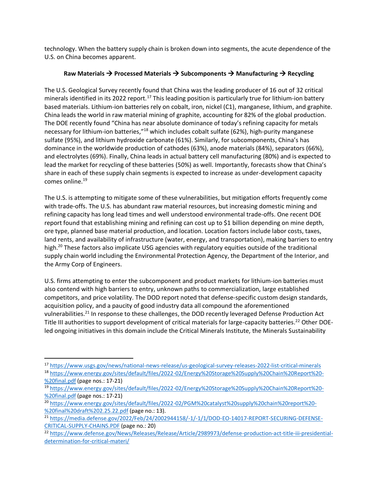technology. When the battery supply chain is broken down into segments, the acute dependence of the U.S. on China becomes apparent.

#### **Raw Materials** → **Processed Materials** → **Subcomponents** → **Manufacturing** → **Recycling**

The U.S. Geological Survey recently found that China was the leading producer of 16 out of 32 critical minerals identified in its 2022 report.<sup>17</sup> This leading position is particularly true for lithium-ion battery based materials. Lithium-ion batteries rely on cobalt, iron, nickel (C1), manganese, lithium, and graphite. China leads the world in raw material mining of graphite, accounting for 82% of the global production. The DOE recently found "China has near absolute dominance of today's refining capacity for metals necessary for lithium-ion batteries,"<sup>18</sup> which includes cobalt sulfate (62%), high-purity manganese sulfate (95%), and lithium hydroxide carbonate (61%). Similarly, for subcomponents, China's has dominance in the worldwide production of cathodes (63%), anode materials (84%), separators (66%), and electrolytes (69%). Finally, China leads in actual battery cell manufacturing (80%) and is expected to lead the market for recycling of these batteries (50%) as well. Importantly, forecasts show that China's share in each of these supply chain segments is expected to increase as under-development capacity comes online.<sup>19</sup>

The U.S. is attempting to mitigate some of these vulnerabilities, but mitigation efforts frequently come with trade-offs. The U.S. has abundant raw material resources, but increasing domestic mining and refining capacity has long lead times and well understood environmental trade-offs. One recent DOE report found that establishing mining and refining can cost up to \$1 billion depending on mine depth, ore type, planned base material production, and location. Location factors include labor costs, taxes, land rents, and availability of infrastructure (water, energy, and transportation), making barriers to entry high.<sup>20</sup> These factors also implicate USG agencies with regulatory equities outside of the traditional supply chain world including the Environmental Protection Agency, the Department of the Interior, and the Army Corp of Engineers.

U.S. firms attempting to enter the subcomponent and product markets for lithium-ion batteries must also contend with high barriers to entry, unknown paths to commercialization, large established competitors, and price volatility. The DOD report noted that defense-specific custom design standards, acquisition policy, and a paucity of good industry data all compound the aforementioned vulnerabilities.<sup>21</sup> In response to these challenges, the DOD recently leveraged Defense Production Act Title III authorities to support development of critical materials for large-capacity batteries.<sup>22</sup> Other DOEled ongoing initiatives in this domain include the Critical Minerals Institute, the Minerals Sustainability

<sup>17</sup> <https://www.usgs.gov/news/national-news-release/us-geological-survey-releases-2022-list-critical-minerals> <sup>18</sup> [https://www.energy.gov/sites/default/files/2022-02/Energy%20Storage%20Supply%20Chain%20Report%20-](https://www.energy.gov/sites/default/files/2022-02/Energy%20Storage%20Supply%20Chain%20Report%20-%20final.pdf)

[<sup>%20</sup>final.pdf](https://www.energy.gov/sites/default/files/2022-02/Energy%20Storage%20Supply%20Chain%20Report%20-%20final.pdf) (page nos.: 17-21)

<sup>19</sup> [https://www.energy.gov/sites/default/files/2022-02/Energy%20Storage%20Supply%20Chain%20Report%20-](https://www.energy.gov/sites/default/files/2022-02/Energy%20Storage%20Supply%20Chain%20Report%20-%20final.pdf) [%20final.pdf](https://www.energy.gov/sites/default/files/2022-02/Energy%20Storage%20Supply%20Chain%20Report%20-%20final.pdf) (page nos.: 17-21)

<sup>20</sup> [https://www.energy.gov/sites/default/files/2022-02/PGM%20catalyst%20supply%20chain%20report%20-](https://www.energy.gov/sites/default/files/2022-02/PGM%20catalyst%20supply%20chain%20report%20-%20final%20draft%202.25.22.pdf) [%20final%20draft%202.25.22.pdf](https://www.energy.gov/sites/default/files/2022-02/PGM%20catalyst%20supply%20chain%20report%20-%20final%20draft%202.25.22.pdf) (page no.: 13).

<sup>&</sup>lt;sup>21</sup> [https://media.defense.gov/2022/Feb/24/2002944158/-1/-1/1/DOD-EO-14017-REPORT-SECURING-DEFENSE-](https://media.defense.gov/2022/Feb/24/2002944158/-1/-1/1/DOD-EO-14017-REPORT-SECURING-DEFENSE-CRITICAL-SUPPLY-CHAINS.PDF)[CRITICAL-SUPPLY-CHAINS.PDF](https://media.defense.gov/2022/Feb/24/2002944158/-1/-1/1/DOD-EO-14017-REPORT-SECURING-DEFENSE-CRITICAL-SUPPLY-CHAINS.PDF) (page no.: 20)

<sup>22</sup> [https://www.defense.gov/News/Releases/Release/Article/2989973/defense-production-act-title-iii-presidential](https://www.defense.gov/News/Releases/Release/Article/2989973/defense-production-act-title-iii-presidential-determination-for-critical-materi/)[determination-for-critical-materi/](https://www.defense.gov/News/Releases/Release/Article/2989973/defense-production-act-title-iii-presidential-determination-for-critical-materi/)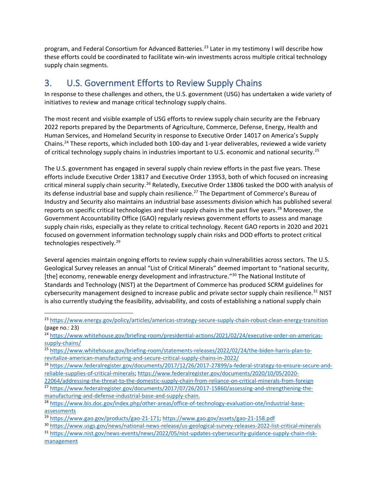program, and Federal Consortium for Advanced Batteries. <sup>23</sup> Later in my testimony I will describe how these efforts could be coordinated to facilitate win-win investments across multiple critical technology supply chain segments.

### 3. U.S. Government Efforts to Review Supply Chains

In response to these challenges and others, the U.S. government (USG) has undertaken a wide variety of initiatives to review and manage critical technology supply chains.

The most recent and visible example of USG efforts to review supply chain security are the February 2022 reports prepared by the Departments of Agriculture, Commerce, Defense, Energy, Health and Human Services, and Homeland Security in response to Executive Order 14017 on America's Supply Chains.<sup>24</sup> These reports, which included both 100-day and 1-year deliverables, reviewed a wide variety of critical technology supply chains in industries important to U.S. economic and national security.<sup>25</sup>

The U.S. government has engaged in several supply chain review efforts in the past five years. These efforts include Executive Order 13817 and Executive Order 13953, both of which focused on increasing critical mineral supply chain security.<sup>26</sup> Relatedly, Executive Order 13806 tasked the DOD with analysis of its defense industrial base and supply chain resilience.<sup>27</sup> The Department of Commerce's Bureau of Industry and Security also maintains an industrial base assessments division which has published several reports on specific critical technologies and their supply chains in the past five years.<sup>28</sup> Moreover, the Government Accountability Office (GAO) regularly reviews government efforts to assess and manage supply chain risks, especially as they relate to critical technology. Recent GAO reports in 2020 and 2021 focused on government information technology supply chain risks and DOD efforts to protect critical technologies respectively.<sup>29</sup>

Several agencies maintain ongoing efforts to review supply chain vulnerabilities across sectors. The U.S. Geological Survey releases an annual "List of Critical Minerals" deemed important to "national security, [the] economy, renewable energy development and infrastructure."<sup>30</sup> The National Institute of Standards and Technology (NIST) at the Department of Commerce has produced SCRM guidelines for cybersecurity management designed to increase public and private sector supply chain resilience.<sup>31</sup> NIST is also currently studying the feasibility, advisability, and costs of establishing a national supply chain

[22064/addressing-the-threat-to-the-domestic-supply-chain-from-reliance-on-critical-minerals-from-foreign](https://www.federalregister.gov/documents/2020/10/05/2020-22064/addressing-the-threat-to-the-domestic-supply-chain-from-reliance-on-critical-minerals-from-foreign)

<sup>23</sup> <https://www.energy.gov/policy/articles/americas-strategy-secure-supply-chain-robust-clean-energy-transition> (page no.: 23)

<sup>&</sup>lt;sup>24</sup> [https://www.whitehouse.gov/briefing-room/presidential-actions/2021/02/24/executive-order-on-americas](https://www.whitehouse.gov/briefing-room/presidential-actions/2021/02/24/executive-order-on-americas-supply-chains/)[supply-chains/](https://www.whitehouse.gov/briefing-room/presidential-actions/2021/02/24/executive-order-on-americas-supply-chains/)

<sup>25</sup> [https://www.whitehouse.gov/briefing-room/statements-releases/2022/02/24/the-biden-harris-plan-to](https://www.whitehouse.gov/briefing-room/statements-releases/2022/02/24/the-biden-harris-plan-to-revitalize-american-manufacturing-and-secure-critical-supply-chains-in-2022/)[revitalize-american-manufacturing-and-secure-critical-supply-chains-in-2022/](https://www.whitehouse.gov/briefing-room/statements-releases/2022/02/24/the-biden-harris-plan-to-revitalize-american-manufacturing-and-secure-critical-supply-chains-in-2022/)

<sup>26</sup> [https://www.federalregister.gov/documents/2017/12/26/2017-27899/a-federal-strategy-to-ensure-secure-and](https://www.federalregister.gov/documents/2017/12/26/2017-27899/a-federal-strategy-to-ensure-secure-and-reliable-supplies-of-critical-minerals)[reliable-supplies-of-critical-minerals;](https://www.federalregister.gov/documents/2017/12/26/2017-27899/a-federal-strategy-to-ensure-secure-and-reliable-supplies-of-critical-minerals) [https://www.federalregister.gov/documents/2020/10/05/2020-](https://www.federalregister.gov/documents/2020/10/05/2020-22064/addressing-the-threat-to-the-domestic-supply-chain-from-reliance-on-critical-minerals-from-foreign)

<sup>27</sup> [https://www.federalregister.gov/documents/2017/07/26/2017-15860/assessing-and-strengthening-the](https://www.federalregister.gov/documents/2017/07/26/2017-15860/assessing-and-strengthening-the-manufacturing-and-defense-industrial-base-and-supply-chain)[manufacturing-and-defense-industrial-base-and-supply-chain.](https://www.federalregister.gov/documents/2017/07/26/2017-15860/assessing-and-strengthening-the-manufacturing-and-defense-industrial-base-and-supply-chain)

<sup>28</sup> [https://www.bis.doc.gov/index.php/other-areas/office-of-technology-evaluation-ote/industrial-base](https://www.bis.doc.gov/index.php/other-areas/office-of-technology-evaluation-ote/industrial-base-assessments)[assessments](https://www.bis.doc.gov/index.php/other-areas/office-of-technology-evaluation-ote/industrial-base-assessments)

<sup>29</sup> [https://www.gao.gov/products/gao-21-171;](https://www.gao.gov/products/gao-21-171)<https://www.gao.gov/assets/gao-21-158.pdf>

<sup>30</sup> <https://www.usgs.gov/news/national-news-release/us-geological-survey-releases-2022-list-critical-minerals>

<sup>31</sup> [https://www.nist.gov/news-events/news/2022/05/nist-updates-cybersecurity-guidance-supply-chain-risk](https://www.nist.gov/news-events/news/2022/05/nist-updates-cybersecurity-guidance-supply-chain-risk-management)[management](https://www.nist.gov/news-events/news/2022/05/nist-updates-cybersecurity-guidance-supply-chain-risk-management)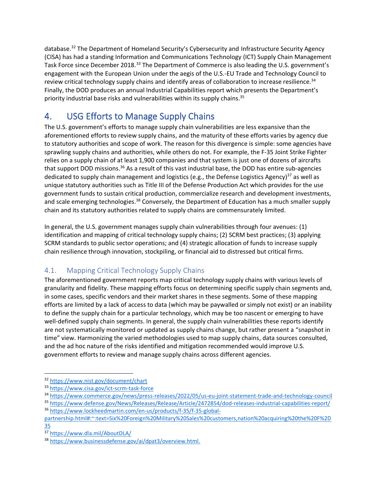database.<sup>32</sup> The Department of Homeland Security's Cybersecurity and Infrastructure Security Agency (CISA) has had a standing Information and Communications Technology (ICT) Supply Chain Management Task Force since December 2018.<sup>33</sup> The Department of Commerce is also leading the U.S. government's engagement with the European Union under the aegis of the U.S.-EU Trade and Technology Council to review critical technology supply chains and identify areas of collaboration to increase resilience.<sup>34</sup> Finally, the DOD produces an annual Industrial Capabilities report which presents the Department's priority industrial base risks and vulnerabilities within its supply chains. 35

### 4. USG Efforts to Manage Supply Chains

The U.S. government's efforts to manage supply chain vulnerabilities are less expansive than the aforementioned efforts to review supply chains, and the maturity of these efforts varies by agency due to statutory authorities and scope of work. The reason for this divergence is simple: some agencies have sprawling supply chains and authorities, while others do not. For example, the F-35 Joint Strike Fighter relies on a supply chain of at least 1,900 companies and that system is just one of dozens of aircrafts that support DOD missions.<sup>36</sup> As a result of this vast industrial base, the DOD has entire sub-agencies dedicated to supply chain management and logistics (e.g., the Defense Logistics Agency)<sup>37</sup> as well as unique statutory authorities such as Title III of the Defense Production Act which provides for the use government funds to sustain critical production, commercialize research and development investments, and scale emerging technologies.<sup>38</sup> Conversely, the Department of Education has a much smaller supply chain and its statutory authorities related to supply chains are commensurately limited.

In general, the U.S. government manages supply chain vulnerabilities through four avenues: (1) identification and mapping of critical technology supply chains; (2) SCRM best practices; (3) applying SCRM standards to public sector operations; and (4) strategic allocation of funds to increase supply chain resilience through innovation, stockpiling, or financial aid to distressed but critical firms.

### 4.1. Mapping Critical Technology Supply Chains

The aforementioned government reports map critical technology supply chains with various levels of granularity and fidelity. These mapping efforts focus on determining specific supply chain segments and, in some cases, specific vendors and their market shares in these segments. Some of these mapping efforts are limited by a lack of access to data (which may be paywalled or simply not exist) or an inability to define the supply chain for a particular technology, which may be too nascent or emerging to have well-defined supply chain segments. In general, the supply chain vulnerabilities these reports identify are not systematically monitored or updated as supply chains change, but rather present a "snapshot in time" view. Harmonizing the varied methodologies used to map supply chains, data sources consulted, and the ad hoc nature of the risks identified and mitigation recommended would improve U.S. government efforts to review and manage supply chains across different agencies.

<sup>32</sup> <https://www.nist.gov/document/chart>

<sup>33</sup> <https://www.cisa.gov/ict-scrm-task-force>

<sup>34</sup> <https://www.commerce.gov/news/press-releases/2022/05/us-eu-joint-statement-trade-and-technology-council>

<sup>35</sup> <https://www.defense.gov/News/Releases/Release/Article/2472854/dod-releases-industrial-capabilities-report/> <sup>36</sup> [https://www.lockheedmartin.com/en-us/products/f-35/f-35-global-](https://www.lockheedmartin.com/en-us/products/f-35/f-35-global-partnership.html#:~:text=Six%20Foreign%20Military%20Sales%20customers,nation%20acquiring%20the%20F%2D35)

[partnership.html#:~:text=Six%20Foreign%20Military%20Sales%20customers,nation%20acquiring%20the%20F%2D](https://www.lockheedmartin.com/en-us/products/f-35/f-35-global-partnership.html#:~:text=Six%20Foreign%20Military%20Sales%20customers,nation%20acquiring%20the%20F%2D35) [35](https://www.lockheedmartin.com/en-us/products/f-35/f-35-global-partnership.html#:~:text=Six%20Foreign%20Military%20Sales%20customers,nation%20acquiring%20the%20F%2D35)

<sup>37</sup> <https://www.dla.mil/AboutDLA/>

<sup>38</sup> [https://www.businessdefense.gov/ai/dpat3/overview.html.](https://www.businessdefense.gov/ai/dpat3/overview.html)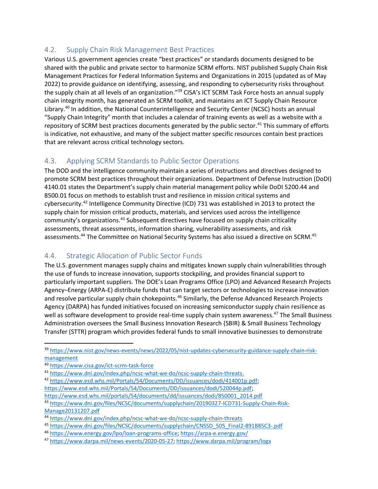#### 4.2. Supply Chain Risk Management Best Practices

Various U.S. government agencies create "best practices" or standards documents designed to be shared with the public and private sector to harmonize SCRM efforts. NIST published Supply Chain Risk Management Practices for Federal Information Systems and Organizations in 2015 (updated as of May 2022) to provide guidance on identifying, assessing, and responding to cybersecurity risks throughout the supply chain at all levels of an organization."<sup>39</sup> CISA's ICT SCRM Task Force hosts an annual supply chain integrity month, has generated an SCRM toolkit, and maintains an ICT Supply Chain Resource Library.<sup>40</sup> In addition, the National Counterintelligence and Security Center (NCSC) hosts an annual "Supply Chain Integrity" month that includes a calendar of training events as well as a website with a repository of SCRM best practices documents generated by the public sector.<sup>41</sup> This summary of efforts is indicative, not exhaustive, and many of the subject matter specific resources contain best practices that are relevant across critical technology sectors.

#### 4.3. Applying SCRM Standards to Public Sector Operations

The DOD and the intelligence community maintain a series of instructions and directives designed to promote SCRM best practices throughout their organizations. Department of Defense Instruction (DoDI) 4140.01 states the Department's supply chain material management policy while DoDI 5200.44 and 8500.01 focus on methods to establish trust and resilience in mission critical systems and cybersecurity.<sup>42</sup> Intelligence Community Directive (ICD) 731 was established in 2013 to protect the supply chain for mission critical products, materials, and services used across the intelligence community's organizations.<sup>43</sup> Subsequent directives have focused on supply chain criticality assessments, threat assessments, information sharing, vulnerability assessments, and risk assessments.<sup>44</sup> The Committee on National Security Systems has also issued a directive on SCRM.<sup>45</sup>

#### 4.4. Strategic Allocation of Public Sector Funds

The U.S. government manages supply chains and mitigates known supply chain vulnerabilities through the use of funds to increase innovation, supports stockpiling, and provides financial support to particularly important suppliers. The DOE's Loan Programs Office (LPO) and Advanced Research Projects Agency–Energy (ARPA-E) distribute funds that can target sectors or technologies to increase innovation and resolve particular supply chain chokepoints.<sup>46</sup> Similarly, the Defense Advanced Research Projects Agency (DARPA) has funded initiatives focused on increasing semiconductor supply chain resilience as well as software development to provide real-time supply chain system awareness.<sup>47</sup> The Small Business Administration oversees the Small Business Innovation Research (SBIR) & Small Business Technology Transfer (STTR) program which provides federal funds to small innovative businesses to demonstrate

<sup>42</sup> [https://www.esd.whs.mil/Portals/54/Documents/DD/issuances/dodi/414001p.pdf;](https://www.esd.whs.mil/Portals/54/Documents/DD/issuances/dodi/414001p.pdf) [https://www.esd.whs.mil/Portals/54/Documents/DD/issuances/dodi/520044p.pdf;](https://www.esd.whs.mil/Portals/54/Documents/DD/issuances/dodi/520044p.pdf)

[https://www.esd.whs.mil/portals/54/documents/dd/issuances/dodi/850001\\_2014.pdf](https://www.esd.whs.mil/portals/54/documents/dd/issuances/dodi/850001_2014.pdf)

<sup>43</sup> [https://www.dni.gov/files/NCSC/documents/supplychain/20190327-ICD731-Supply-Chain-Risk-](https://www.dni.gov/files/NCSC/documents/supplychain/20190327-ICD731-Supply-Chain-Risk-Manage20131207.pdf)[Manage20131207.pdf](https://www.dni.gov/files/NCSC/documents/supplychain/20190327-ICD731-Supply-Chain-Risk-Manage20131207.pdf)

<sup>&</sup>lt;sup>39</sup> [https://www.nist.gov/news-events/news/2022/05/nist-updates-cybersecurity-guidance-supply-chain-risk](https://www.nist.gov/news-events/news/2022/05/nist-updates-cybersecurity-guidance-supply-chain-risk-management)[management](https://www.nist.gov/news-events/news/2022/05/nist-updates-cybersecurity-guidance-supply-chain-risk-management)

<sup>40</sup> <https://www.cisa.gov/ict-scrm-task-force>

<sup>41</sup> [https://www.dni.gov/index.php/ncsc-what-we-do/ncsc-supply-chain-threats.](https://www.dni.gov/index.php/ncsc-what-we-do/ncsc-supply-chain-threats)

<sup>44</sup> <https://www.dni.gov/index.php/ncsc-what-we-do/ncsc-supply-chain-threats>

<sup>45</sup> [https://www.dni.gov/files/NCSC/documents/supplychain/CNSSD\\_505\\_Final2-891B85C3-.pdf](https://www.dni.gov/files/NCSC/documents/supplychain/CNSSD_505_Final2-891B85C3-.pdf)

<sup>46</sup> [https://www.energy.gov/lpo/loan-programs-office;](https://www.energy.gov/lpo/loan-programs-office)<https://arpa-e.energy.gov/>

<sup>47</sup> [https://www.darpa.mil/news-events/2020-05-27;](https://www.darpa.mil/news-events/2020-05-27) <https://www.darpa.mil/program/logx>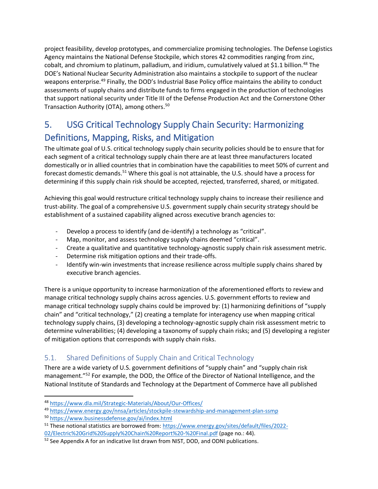project feasibility, develop prototypes, and commercialize promising technologies. The Defense Logistics Agency maintains the National Defense Stockpile, which stores 42 commodities ranging from zinc, cobalt, and chromium to platinum, palladium, and iridium, cumulatively valued at \$1.1 billion.<sup>48</sup> The DOE's National Nuclear Security Administration also maintains a stockpile to support of the nuclear weapons enterprise.<sup>49</sup> Finally, the DOD's Industrial Base Policy office maintains the ability to conduct assessments of supply chains and distribute funds to firms engaged in the production of technologies that support national security under Title III of the Defense Production Act and the Cornerstone Other Transaction Authority (OTA), among others.<sup>50</sup>

### 5. USG Critical Technology Supply Chain Security: Harmonizing Definitions, Mapping, Risks, and Mitigation

The ultimate goal of U.S. critical technology supply chain security policies should be to ensure that for each segment of a critical technology supply chain there are at least three manufacturers located domestically or in allied countries that in combination have the capabilities to meet 50% of current and forecast domestic demands.<sup>51</sup> Where this goal is not attainable, the U.S. should have a process for determining if this supply chain risk should be accepted, rejected, transferred, shared, or mitigated.

Achieving this goal would restructure critical technology supply chains to increase their resilience and trust-ability. The goal of a comprehensive U.S. government supply chain security strategy should be establishment of a sustained capability aligned across executive branch agencies to:

- Develop a process to identify (and de-identify) a technology as "critical".
- Map, monitor, and assess technology supply chains deemed "critical".
- Create a qualitative and quantitative technology-agnostic supply chain risk assessment metric.
- Determine risk mitigation options and their trade-offs.
- Identify win-win investments that increase resilience across multiple supply chains shared by executive branch agencies.

There is a unique opportunity to increase harmonization of the aforementioned efforts to review and manage critical technology supply chains across agencies. U.S. government efforts to review and manage critical technology supply chains could be improved by: (1) harmonizing definitions of "supply chain" and "critical technology," (2) creating a template for interagency use when mapping critical technology supply chains, (3) developing a technology-agnostic supply chain risk assessment metric to determine vulnerabilities; (4) developing a taxonomy of supply chain risks; and (5) developing a register of mitigation options that corresponds with supply chain risks.

#### 5.1. Shared Definitions of Supply Chain and Critical Technology

There are a wide variety of U.S. government definitions of "supply chain" and "supply chain risk management."<sup>52</sup> For example, the DOD, the Office of the Director of National Intelligence, and the National Institute of Standards and Technology at the Department of Commerce have all published

<sup>48</sup> <https://www.dla.mil/Strategic-Materials/About/Our-Offices/>

<sup>49</sup> <https://www.energy.gov/nnsa/articles/stockpile-stewardship-and-management-plan-ssmp>

<sup>50</sup> <https://www.businessdefense.gov/ai/index.html>

<sup>51</sup> These notional statistics are borrowed from[: https://www.energy.gov/sites/default/files/2022-](https://www.energy.gov/sites/default/files/2022-02/Electric%20Grid%20Supply%20Chain%20Report%20-%20Final.pdf) [02/Electric%20Grid%20Supply%20Chain%20Report%20-%20Final.pdf](https://www.energy.gov/sites/default/files/2022-02/Electric%20Grid%20Supply%20Chain%20Report%20-%20Final.pdf) (page no.: 44).

 $52$  See Appendix A for an indicative list drawn from NIST, DOD, and ODNI publications.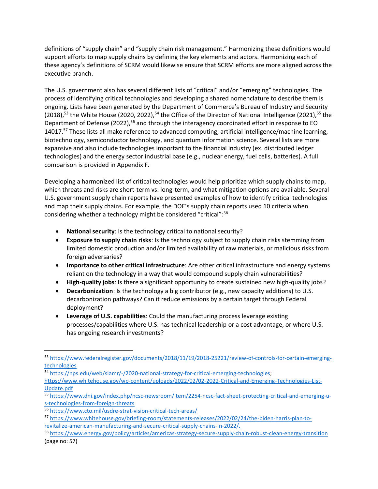definitions of "supply chain" and "supply chain risk management." Harmonizing these definitions would support efforts to map supply chains by defining the key elements and actors. Harmonizing each of these agency's definitions of SCRM would likewise ensure that SCRM efforts are more aligned across the executive branch.

The U.S. government also has several different lists of "critical" and/or "emerging" technologies. The process of identifying critical technologies and developing a shared nomenclature to describe them is ongoing. Lists have been generated by the Department of Commerce's Bureau of Industry and Security (2018),<sup>53</sup> the White House (2020, 2022),<sup>54</sup> the Office of the Director of National Intelligence (2021),<sup>55</sup> the Department of Defense (2022),<sup>56</sup> and through the interagency coordinated effort in response to EO 14017.<sup>57</sup> These lists all make reference to advanced computing, artificial intelligence/machine learning, biotechnology, semiconductor technology, and quantum information science. Several lists are more expansive and also include technologies important to the financial industry (ex. distributed ledger technologies) and the energy sector industrial base (e.g., nuclear energy, fuel cells, batteries). A full comparison is provided in Appendix F.

Developing a harmonized list of critical technologies would help prioritize which supply chains to map, which threats and risks are short-term vs. long-term, and what mitigation options are available. Several U.S. government supply chain reports have presented examples of how to identify critical technologies and map their supply chains. For example, the DOE's supply chain reports used 10 criteria when considering whether a technology might be considered "critical":<sup>58</sup>

- **National security**: Is the technology critical to national security?
- **Exposure to supply chain risks**: Is the technology subject to supply chain risks stemming from limited domestic production and/or limited availability of raw materials, or malicious risks from foreign adversaries?
- **Importance to other critical infrastructure**: Are other critical infrastructure and energy systems reliant on the technology in a way that would compound supply chain vulnerabilities?
- **High-quality jobs**: Is there a significant opportunity to create sustained new high-quality jobs?
- **Decarbonization**: Is the technology a big contributor (e.g., new capacity additions) to U.S. decarbonization pathways? Can it reduce emissions by a certain target through Federal deployment?
- **Leverage of U.S. capabilities**: Could the manufacturing process leverage existing processes/capabilities where U.S. has technical leadership or a cost advantage, or where U.S. has ongoing research investments?

<sup>53</sup> [https://www.federalregister.gov/documents/2018/11/19/2018-25221/review-of-controls-for-certain-emerging](https://www.federalregister.gov/documents/2018/11/19/2018-25221/review-of-controls-for-certain-emerging-technologies)[technologies](https://www.federalregister.gov/documents/2018/11/19/2018-25221/review-of-controls-for-certain-emerging-technologies)

<sup>54</sup> [https://nps.edu/web/slamr/-/2020-national-strategy-for-critical-emerging-technologies;](https://nps.edu/web/slamr/-/2020-national-strategy-for-critical-emerging-technologies)

[https://www.whitehouse.gov/wp-content/uploads/2022/02/02-2022-Critical-and-Emerging-Technologies-List-](https://www.whitehouse.gov/wp-content/uploads/2022/02/02-2022-Critical-and-Emerging-Technologies-List-Update.pdf)[Update.pdf](https://www.whitehouse.gov/wp-content/uploads/2022/02/02-2022-Critical-and-Emerging-Technologies-List-Update.pdf)

<sup>55</sup> [https://www.dni.gov/index.php/ncsc-newsroom/item/2254-ncsc-fact-sheet-protecting-critical-and-emerging-u](https://www.dni.gov/index.php/ncsc-newsroom/item/2254-ncsc-fact-sheet-protecting-critical-and-emerging-u-s-technologies-from-foreign-threats)[s-technologies-from-foreign-threats](https://www.dni.gov/index.php/ncsc-newsroom/item/2254-ncsc-fact-sheet-protecting-critical-and-emerging-u-s-technologies-from-foreign-threats)

<sup>56</sup> <https://www.cto.mil/usdre-strat-vision-critical-tech-areas/>

<sup>57</sup> [https://www.whitehouse.gov/briefing-room/statements-releases/2022/02/24/the-biden-harris-plan-to](https://www.whitehouse.gov/briefing-room/statements-releases/2022/02/24/the-biden-harris-plan-to-revitalize-american-manufacturing-and-secure-critical-supply-chains-in-2022/)[revitalize-american-manufacturing-and-secure-critical-supply-chains-in-2022/.](https://www.whitehouse.gov/briefing-room/statements-releases/2022/02/24/the-biden-harris-plan-to-revitalize-american-manufacturing-and-secure-critical-supply-chains-in-2022/)

<sup>58</sup> <https://www.energy.gov/policy/articles/americas-strategy-secure-supply-chain-robust-clean-energy-transition> (page no: 57)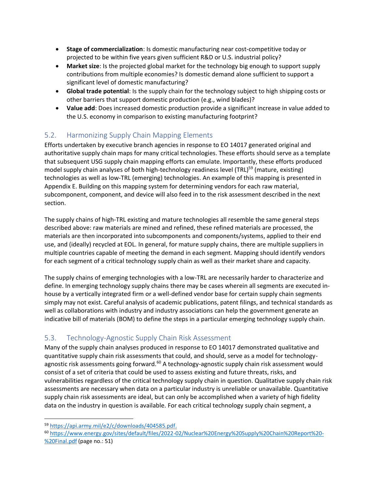- **Stage of commercialization**: Is domestic manufacturing near cost-competitive today or projected to be within five years given sufficient R&D or U.S. industrial policy?
- **Market size**: Is the projected global market for the technology big enough to support supply contributions from multiple economies? Is domestic demand alone sufficient to support a significant level of domestic manufacturing?
- **Global trade potential**: Is the supply chain for the technology subject to high shipping costs or other barriers that support domestic production (e.g., wind blades)?
- **Value add**: Does increased domestic production provide a significant increase in value added to the U.S. economy in comparison to existing manufacturing footprint?

#### 5.2. Harmonizing Supply Chain Mapping Elements

Efforts undertaken by executive branch agencies in response to EO 14017 generated original and authoritative supply chain maps for many critical technologies. These efforts should serve as a template that subsequent USG supply chain mapping efforts can emulate. Importantly, these efforts produced model supply chain analyses of both high-technology readiness level (TRL)<sup>59</sup> (mature, existing) technologies as well as low-TRL (emerging) technologies. An example of this mapping is presented in Appendix E. Building on this mapping system for determining vendors for each raw material, subcomponent, component, and device will also feed in to the risk assessment described in the next section.

The supply chains of high-TRL existing and mature technologies all resemble the same general steps described above: raw materials are mined and refined, these refined materials are processed, the materials are then incorporated into subcomponents and components/systems, applied to their end use, and (ideally) recycled at EOL. In general, for mature supply chains, there are multiple suppliers in multiple countries capable of meeting the demand in each segment. Mapping should identify vendors for each segment of a critical technology supply chain as well as their market share and capacity.

The supply chains of emerging technologies with a low-TRL are necessarily harder to characterize and define. In emerging technology supply chains there may be cases wherein all segments are executed inhouse by a vertically integrated firm or a well-defined vendor base for certain supply chain segments simply may not exist. Careful analysis of academic publications, patent filings, and technical standards as well as collaborations with industry and industry associations can help the government generate an indicative bill of materials (BOM) to define the steps in a particular emerging technology supply chain.

#### 5.3. Technology-Agnostic Supply Chain Risk Assessment

Many of the supply chain analyses produced in response to EO 14017 demonstrated qualitative and quantitative supply chain risk assessments that could, and should, serve as a model for technologyagnostic risk assessments going forward.<sup>60</sup> A technology-agnostic supply chain risk assessment would consist of a set of criteria that could be used to assess existing and future threats, risks, and vulnerabilities regardless of the critical technology supply chain in question. Qualitative supply chain risk assessments are necessary when data on a particular industry is unreliable or unavailable. Quantitative supply chain risk assessments are ideal, but can only be accomplished when a variety of high fidelity data on the industry in question is available. For each critical technology supply chain segment, a

<sup>59</sup> [https://api.army.mil/e2/c/downloads/404585.pdf.](https://api.army.mil/e2/c/downloads/404585.pdf)

<sup>60</sup> [https://www.energy.gov/sites/default/files/2022-02/Nuclear%20Energy%20Supply%20Chain%20Report%20-](https://www.energy.gov/sites/default/files/2022-02/Nuclear%20Energy%20Supply%20Chain%20Report%20-%20Final.pdf) [%20Final.pdf](https://www.energy.gov/sites/default/files/2022-02/Nuclear%20Energy%20Supply%20Chain%20Report%20-%20Final.pdf) (page no.: 51)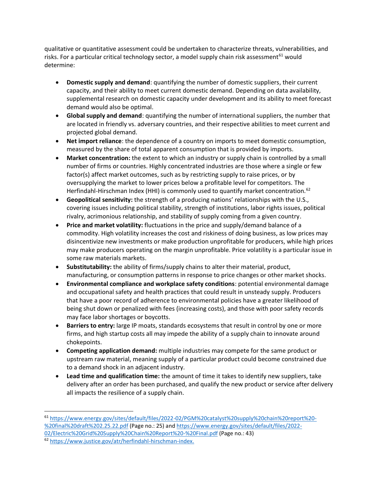qualitative or quantitative assessment could be undertaken to characterize threats, vulnerabilities, and risks. For a particular critical technology sector, a model supply chain risk assessment<sup>61</sup> would determine:

- **Domestic supply and demand**: quantifying the number of domestic suppliers, their current capacity, and their ability to meet current domestic demand. Depending on data availability, supplemental research on domestic capacity under development and its ability to meet forecast demand would also be optimal.
- **Global supply and demand**: quantifying the number of international suppliers, the number that are located in friendly vs. adversary countries, and their respective abilities to meet current and projected global demand.
- **Net import reliance**: the dependence of a country on imports to meet domestic consumption, measured by the share of total apparent consumption that is provided by imports.
- **Market concentration:** the extent to which an industry or supply chain is controlled by a small number of firms or countries. Highly concentrated industries are those where a single or few factor(s) affect market outcomes, such as by restricting supply to raise prices, or by oversupplying the market to lower prices below a profitable level for competitors. The Herfindahl-Hirschman Index (HHI) is commonly used to quantify market concentration.<sup>62</sup>
- **Geopolitical sensitivity:** the strength of a producing nations' relationships with the U.S., covering issues including political stability, strength of institutions, labor rights issues, political rivalry, acrimonious relationship, and stability of supply coming from a given country.
- **Price and market volatility:** fluctuations in the price and supply/demand balance of a commodity. High volatility increases the cost and riskiness of doing business, as low prices may disincentivize new investments or make production unprofitable for producers, while high prices may make producers operating on the margin unprofitable. Price volatility is a particular issue in some raw materials markets.
- **Substitutability:** the ability of firms/supply chains to alter their material, product, manufacturing, or consumption patterns in response to price changes or other market shocks.
- **Environmental compliance and workplace safety conditions**: potential environmental damage and occupational safety and health practices that could result in unsteady supply. Producers that have a poor record of adherence to environmental policies have a greater likelihood of being shut down or penalized with fees (increasing costs), and those with poor safety records may face labor shortages or boycotts.
- **Barriers to entry:** large IP moats, standards ecosystems that result in control by one or more firms, and high startup costs all may impede the ability of a supply chain to innovate around chokepoints.
- **Competing application demand:** multiple industries may compete for the same product or upstream raw material, meaning supply of a particular product could become constrained due to a demand shock in an adjacent industry.
- **Lead time and qualification time:** the amount of time it takes to identify new suppliers, take delivery after an order has been purchased, and qualify the new product or service after delivery all impacts the resilience of a supply chain.

<sup>61</sup> [https://www.energy.gov/sites/default/files/2022-02/PGM%20catalyst%20supply%20chain%20report%20-](https://www.energy.gov/sites/default/files/2022-02/PGM%20catalyst%20supply%20chain%20report%20-%20final%20draft%202.25.22.pdf) [%20final%20draft%202.25.22.pdf](https://www.energy.gov/sites/default/files/2022-02/PGM%20catalyst%20supply%20chain%20report%20-%20final%20draft%202.25.22.pdf) (Page no.: 25) and [https://www.energy.gov/sites/default/files/2022-](https://www.energy.gov/sites/default/files/2022-02/Electric%20Grid%20Supply%20Chain%20Report%20-%20Final.pdf) [02/Electric%20Grid%20Supply%20Chain%20Report%20-%20Final.pdf](https://www.energy.gov/sites/default/files/2022-02/Electric%20Grid%20Supply%20Chain%20Report%20-%20Final.pdf) (Page no.: 43)

<sup>62</sup> [https://www.justice.gov/atr/herfindahl-hirschman-index.](https://www.justice.gov/atr/herfindahl-hirschman-index)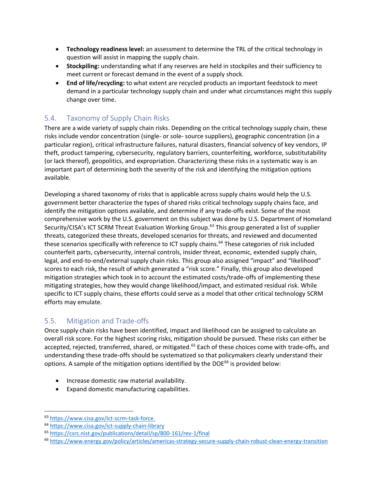- **Technology readiness level:** an assessment to determine the TRL of the critical technology in question will assist in mapping the supply chain.
- **Stockpiling:** understanding what if any reserves are held in stockpiles and their sufficiency to meet current or forecast demand in the event of a supply shock.
- **End of life/recycling:** to what extent are recycled products an important feedstock to meet demand in a particular technology supply chain and under what circumstances might this supply change over time.

#### 5.4. Taxonomy of Supply Chain Risks

There are a wide variety of supply chain risks. Depending on the critical technology supply chain, these risks include vendor concentration (single- or sole- source suppliers), geographic concentration (in a particular region), critical infrastructure failures, natural disasters, financial solvency of key vendors, IP theft, product tampering, cybersecurity, regulatory barriers, counterfeiting, workforce, substitutability (or lack thereof), geopolitics, and expropriation. Characterizing these risks in a systematic way is an important part of determining both the severity of the risk and identifying the mitigation options available.

Developing a shared taxonomy of risks that is applicable across supply chains would help the U.S. government better characterize the types of shared risks critical technology supply chains face, and identify the mitigation options available, and determine if any trade-offs exist. Some of the most comprehensive work by the U.S. government on this subject was done by U.S. Department of Homeland Security/CISA's ICT SCRM Threat Evaluation Working Group.<sup>63</sup> This group generated a list of supplier threats, categorized these threats, developed scenarios for threats, and reviewed and documented these scenarios specifically with reference to ICT supply chains.<sup>64</sup> These categories of risk included counterfeit parts, cybersecurity, internal controls, insider threat, economic, extended supply chain, legal, and end-to-end/external supply chain risks. This group also assigned "impact" and "likelihood" scores to each risk, the result of which generated a "risk score." Finally, this group also developed mitigation strategies which took in to account the estimated costs/trade-offs of implementing these mitigating strategies, how they would change likelihood/impact, and estimated residual risk. While specific to ICT supply chains, these efforts could serve as a model that other critical technology SCRM efforts may emulate.

#### 5.5. Mitigation and Trade-offs

Once supply chain risks have been identified, impact and likelihood can be assigned to calculate an overall risk score. For the highest scoring risks, mitigation should be pursued. These risks can either be accepted, rejected, transferred, shared, or mitigated.<sup>65</sup> Each of these choices come with trade-offs, and understanding these trade-offs should be systematized so that policymakers clearly understand their options. A sample of the mitigation options identified by the DOE $^{66}$  is provided below:

- Increase domestic raw material availability.
- Expand domestic manufacturing capabilities.

<sup>63</sup> [https://www.cisa.gov/ict-scrm-task-force.](https://www.cisa.gov/ict-scrm-task-force)

<sup>64</sup> <https://www.cisa.gov/ict-supply-chain-library>

<sup>65</sup> <https://csrc.nist.gov/publications/detail/sp/800-161/rev-1/final>

<sup>66</sup> <https://www.energy.gov/policy/articles/americas-strategy-secure-supply-chain-robust-clean-energy-transition>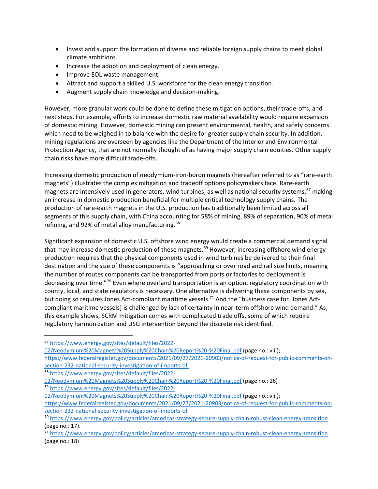- Invest and support the formation of diverse and reliable foreign supply chains to meet global climate ambitions.
- Increase the adoption and deployment of clean energy.
- Improve EOL waste management.
- Attract and support a skilled U.S. workforce for the clean energy transition.
- Augment supply chain knowledge and decision-making.

However, more granular work could be done to define these mitigation options, their trade-offs, and next steps. For example, efforts to increase domestic raw material availability would require expansion of domestic mining. However, domestic mining can present environmental, health, and safety concerns which need to be weighed in to balance with the desire for greater supply chain security. In addition, mining regulations are overseen by agencies like the Department of the Interior and Environmental Protection Agency, that are not normally thought of as having major supply chain equities. Other supply chain risks have more difficult trade-offs.

Increasing domestic production of neodymium-iron-boron magnets (hereafter referred to as "rare-earth magnets") illustrates the complex mitigation and tradeoff options policymakers face. Rare-earth magnets are intensively used in generators, wind turbines, as well as national security systems, <sup>67</sup> making an increase in domestic production beneficial for multiple critical technology supply chains. The production of rare-earth magnets in the U.S. production has traditionally been limited across all segments of this supply chain, with China accounting for 58% of mining, 89% of separation, 90% of metal refining, and 92% of metal alloy manufacturing.<sup>68</sup>

Significant expansion of domestic U.S. offshore wind energy would create a commercial demand signal that may increase domestic production of these magnets.<sup>69</sup> However, increasing offshore wind energy production requires that the physical components used in wind turbines be delivered to their final destination and the size of these components is "approaching or over road and rail size limits, meaning the number of routes components can be transported from ports or factories to deployment is decreasing over time."<sup>70</sup> Even where overland transportation is an option, regulatory coordination with county, local, and state regulators is necessary. One alternative is delivering these components by sea, but doing so requires Jones Act-compliant maritime vessels.<sup>71</sup> And the "business case for [Jones Actcompliant maritime vessels] is challenged by lack of certainty in near-term offshore wind demand." As, this example shows, SCRM mitigation comes with complicated trade offs, some of which require regulatory harmonization and USG intervention beyond the discrete risk identified.

- [https://www.federalregister.gov/documents/2021/09/27/2021-20903/notice-of-request-for-public-comments-on](https://www.federalregister.gov/documents/2021/09/27/2021-20903/notice-of-request-for-public-comments-on-section-232-national-security-investigation-of-imports-of)[section-232-national-security-investigation-of-imports-of.](https://www.federalregister.gov/documents/2021/09/27/2021-20903/notice-of-request-for-public-comments-on-section-232-national-security-investigation-of-imports-of)
- <sup>68</sup> [https://www.energy.gov/sites/default/files/2022-](https://www.energy.gov/sites/default/files/2022-02/Neodymium%20Magnets%20Supply%20Chain%20Report%20-%20Final.pdf)
- [02/Neodymium%20Magnets%20Supply%20Chain%20Report%20-%20Final.pdf](https://www.energy.gov/sites/default/files/2022-02/Neodymium%20Magnets%20Supply%20Chain%20Report%20-%20Final.pdf) (page no.: 26) <sup>69</sup> [https://www.energy.gov/sites/default/files/2022-](https://www.energy.gov/sites/default/files/2022-02/Neodymium%20Magnets%20Supply%20Chain%20Report%20-%20Final.pdf)
- [02/Neodymium%20Magnets%20Supply%20Chain%20Report%20-%20Final.pdf](https://www.energy.gov/sites/default/files/2022-02/Neodymium%20Magnets%20Supply%20Chain%20Report%20-%20Final.pdf) (page no.: viii);

<sup>67</sup> [https://www.energy.gov/sites/default/files/2022-](https://www.energy.gov/sites/default/files/2022-02/Neodymium%20Magnets%20Supply%20Chain%20Report%20-%20Final.pdf)

[<sup>02/</sup>Neodymium%20Magnets%20Supply%20Chain%20Report%20-%20Final.pdf](https://www.energy.gov/sites/default/files/2022-02/Neodymium%20Magnets%20Supply%20Chain%20Report%20-%20Final.pdf) (page no.: viii);

[https://www.federalregister.gov/documents/2021/09/27/2021-20903/notice-of-request-for-public-comments-on](https://www.federalregister.gov/documents/2021/09/27/2021-20903/notice-of-request-for-public-comments-on-section-232-national-security-investigation-of-imports-of)[section-232-national-security-investigation-of-imports-of](https://www.federalregister.gov/documents/2021/09/27/2021-20903/notice-of-request-for-public-comments-on-section-232-national-security-investigation-of-imports-of)

<sup>70</sup> <https://www.energy.gov/policy/articles/americas-strategy-secure-supply-chain-robust-clean-energy-transition> (page no.: 17).

<sup>71</sup> <https://www.energy.gov/policy/articles/americas-strategy-secure-supply-chain-robust-clean-energy-transition> (page no.: 18)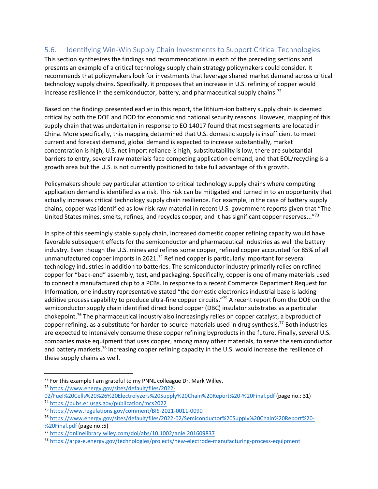#### 5.6. Identifying Win-Win Supply Chain Investments to Support Critical Technologies

This section synthesizes the findings and recommendations in each of the preceding sections and presents an example of a critical technology supply chain strategy policymakers could consider. It recommends that policymakers look for investments that leverage shared market demand across critical technology supply chains. Specifically, it proposes that an increase in U.S. refining of copper would increase resilience in the semiconductor, battery, and pharmaceutical supply chains.<sup>72</sup>

Based on the findings presented earlier in this report, the lithium-ion battery supply chain is deemed critical by both the DOE and DOD for economic and national security reasons. However, mapping of this supply chain that was undertaken in response to EO 14017 found that most segments are located in China. More specifically, this mapping determined that U.S. domestic supply is insufficient to meet current and forecast demand, global demand is expected to increase substantially, market concentration is high, U.S. net import reliance is high, substitutability is low, there are substantial barriers to entry, several raw materials face competing application demand, and that EOL/recycling is a growth area but the U.S. is not currently positioned to take full advantage of this growth.

Policymakers should pay particular attention to critical technology supply chains where competing application demand is identified as a risk. This risk can be mitigated and turned in to an opportunity that actually increases critical technology supply chain resilience. For example, in the case of battery supply chains, copper was identified as low risk raw material in recent U.S. government reports given that "The United States mines, smelts, refines, and recycles copper, and it has significant copper reserves..."<sup>73</sup>

In spite of this seemingly stable supply chain, increased domestic copper refining capacity would have favorable subsequent effects for the semiconductor and pharmaceutical industries as well the battery industry. Even though the U.S. mines and refines some copper, refined copper accounted for 85% of all unmanufactured copper imports in 2021.<sup>74</sup> Refined copper is particularly important for several technology industries in addition to batteries. The semiconductor industry primarily relies on refined copper for "back-end" assembly, test, and packaging. Specifically, copper is one of many materials used to connect a manufactured chip to a PCBs. In response to a recent Commerce Department Request for Information, one industry representative stated "the domestic electronics industrial base is lacking additive process capability to produce ultra-fine copper circuits."<sup>75</sup> A recent report from the DOE on the semiconductor supply chain identified direct bond copper (DBC) insulator substrates as a particular chokepoint.<sup>76</sup> The pharmaceutical industry also increasingly relies on copper catalyst, a byproduct of copper refining, as a substitute for harder-to-source materials used in drug synthesis.<sup>77</sup> Both industries are expected to intensively consume these copper refining byproducts in the future. Finally, several U.S. companies make equipment that uses copper, among many other materials, to serve the semiconductor and battery markets.<sup>78</sup> Increasing copper refining capacity in the U.S. would increase the resilience of these supply chains as well.

 $72$  For this example I am grateful to my PNNL colleague Dr. Mark Willey.

<sup>73</sup> [https://www.energy.gov/sites/default/files/2022-](https://www.energy.gov/sites/default/files/2022-02/Fuel%20Cells%20%26%20Electrolyzers%20Supply%20Chain%20Report%20-%20Final.pdf)

[<sup>02/</sup>Fuel%20Cells%20%26%20Electrolyzers%20Supply%20Chain%20Report%20-%20Final.pdf](https://www.energy.gov/sites/default/files/2022-02/Fuel%20Cells%20%26%20Electrolyzers%20Supply%20Chain%20Report%20-%20Final.pdf) (page no.: 31) <sup>74</sup> <https://pubs.er.usgs.gov/publication/mcs2022>

<sup>75</sup> <https://www.regulations.gov/comment/BIS-2021-0011-0090>

<sup>76</sup> [https://www.energy.gov/sites/default/files/2022-02/Semiconductor%20Supply%20Chain%20Report%20-](https://www.energy.gov/sites/default/files/2022-02/Semiconductor%20Supply%20Chain%20Report%20-%20Final.pdf) [%20Final.pdf](https://www.energy.gov/sites/default/files/2022-02/Semiconductor%20Supply%20Chain%20Report%20-%20Final.pdf) (page no.:5)

<sup>77</sup> <https://onlinelibrary.wiley.com/doi/abs/10.1002/anie.201609837>

<sup>78</sup> <https://arpa-e.energy.gov/technologies/projects/new-electrode-manufacturing-process-equipment>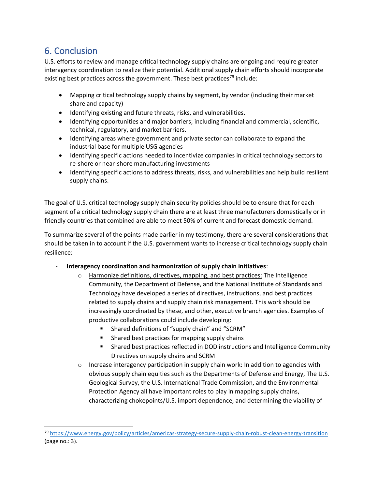### 6. Conclusion

U.S. efforts to review and manage critical technology supply chains are ongoing and require greater interagency coordination to realize their potential. Additional supply chain efforts should incorporate existing best practices across the government. These best practices<sup>79</sup> include:

- Mapping critical technology supply chains by segment, by vendor (including their market share and capacity)
- Identifying existing and future threats, risks, and vulnerabilities.
- Identifying opportunities and major barriers; including financial and commercial, scientific, technical, regulatory, and market barriers.
- Identifying areas where government and private sector can collaborate to expand the industrial base for multiple USG agencies
- Identifying specific actions needed to incentivize companies in critical technology sectors to re-shore or near-shore manufacturing investments
- Identifying specific actions to address threats, risks, and vulnerabilities and help build resilient supply chains.

The goal of U.S. critical technology supply chain security policies should be to ensure that for each segment of a critical technology supply chain there are at least three manufacturers domestically or in friendly countries that combined are able to meet 50% of current and forecast domestic demand.

To summarize several of the points made earlier in my testimony, there are several considerations that should be taken in to account if the U.S. government wants to increase critical technology supply chain resilience:

- **Interagency coordination and harmonization of supply chain initiatives**:
	- o Harmonize definitions, directives, mapping, and best practices: The Intelligence Community, the Department of Defense, and the National Institute of Standards and Technology have developed a series of directives, instructions, and best practices related to supply chains and supply chain risk management. This work should be increasingly coordinated by these, and other, executive branch agencies. Examples of productive collaborations could include developing:
		- Shared definitions of "supply chain" and "SCRM"
		- Shared best practices for mapping supply chains
		- Shared best practices reflected in DOD instructions and Intelligence Community Directives on supply chains and SCRM
	- $\circ$  Increase interagency participation in supply chain work: In addition to agencies with obvious supply chain equities such as the Departments of Defense and Energy, The U.S. Geological Survey, the U.S. International Trade Commission, and the Environmental Protection Agency all have important roles to play in mapping supply chains, characterizing chokepoints/U.S. import dependence, and determining the viability of

<sup>79</sup> <https://www.energy.gov/policy/articles/americas-strategy-secure-supply-chain-robust-clean-energy-transition> (page no.: 3).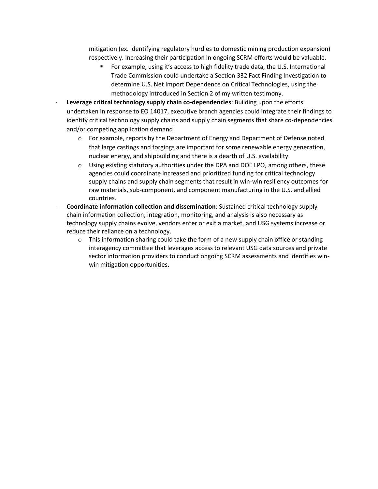mitigation (ex. identifying regulatory hurdles to domestic mining production expansion) respectively. Increasing their participation in ongoing SCRM efforts would be valuable.

- For example, using it's access to high fidelity trade data, the U.S. International Trade Commission could undertake a Section 332 Fact Finding Investigation to determine U.S. Net Import Dependence on Critical Technologies, using the methodology introduced in Section 2 of my written testimony.
- **Leverage critical technology supply chain co-dependencies**: Building upon the efforts undertaken in response to EO 14017, executive branch agencies could integrate their findings to identify critical technology supply chains and supply chain segments that share co-dependencies and/or competing application demand
	- $\circ$  For example, reports by the Department of Energy and Department of Defense noted that large castings and forgings are important for some renewable energy generation, nuclear energy, and shipbuilding and there is a dearth of U.S. availability.
	- $\circ$  Using existing statutory authorities under the DPA and DOE LPO, among others, these agencies could coordinate increased and prioritized funding for critical technology supply chains and supply chain segments that result in win-win resiliency outcomes for raw materials, sub-component, and component manufacturing in the U.S. and allied countries.
- **Coordinate information collection and dissemination**: Sustained critical technology supply chain information collection, integration, monitoring, and analysis is also necessary as technology supply chains evolve, vendors enter or exit a market, and USG systems increase or reduce their reliance on a technology.
	- $\circ$  This information sharing could take the form of a new supply chain office or standing interagency committee that leverages access to relevant USG data sources and private sector information providers to conduct ongoing SCRM assessments and identifies winwin mitigation opportunities.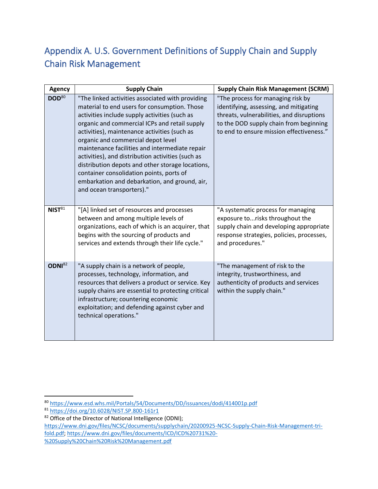## Appendix A. U.S. Government Definitions of Supply Chain and Supply Chain Risk Management

| <b>Agency</b>      | <b>Supply Chain</b>                                                                                                                                                                                                                                                                                                                                                                                                                                                                                                                                                           | <b>Supply Chain Risk Management (SCRM)</b>                                                                                                                                                                     |
|--------------------|-------------------------------------------------------------------------------------------------------------------------------------------------------------------------------------------------------------------------------------------------------------------------------------------------------------------------------------------------------------------------------------------------------------------------------------------------------------------------------------------------------------------------------------------------------------------------------|----------------------------------------------------------------------------------------------------------------------------------------------------------------------------------------------------------------|
| DOD <sup>80</sup>  | "The linked activities associated with providing<br>material to end users for consumption. Those<br>activities include supply activities (such as<br>organic and commercial ICPs and retail supply<br>activities), maintenance activities (such as<br>organic and commercial depot level<br>maintenance facilities and intermediate repair<br>activities), and distribution activities (such as<br>distribution depots and other storage locations,<br>container consolidation points, ports of<br>embarkation and debarkation, and ground, air,<br>and ocean transporters)." | "The process for managing risk by<br>identifying, assessing, and mitigating<br>threats, vulnerabilities, and disruptions<br>to the DOD supply chain from beginning<br>to end to ensure mission effectiveness." |
| NIST <sup>81</sup> | "[A] linked set of resources and processes<br>between and among multiple levels of<br>organizations, each of which is an acquirer, that<br>begins with the sourcing of products and<br>services and extends through their life cycle."                                                                                                                                                                                                                                                                                                                                        | "A systematic process for managing<br>exposure torisks throughout the<br>supply chain and developing appropriate<br>response strategies, policies, processes,<br>and procedures."                              |
| ODNI <sup>82</sup> | "A supply chain is a network of people,<br>processes, technology, information, and<br>resources that delivers a product or service. Key<br>supply chains are essential to protecting critical<br>infrastructure; countering economic<br>exploitation; and defending against cyber and<br>technical operations."                                                                                                                                                                                                                                                               | "The management of risk to the<br>integrity, trustworthiness, and<br>authenticity of products and services<br>within the supply chain."                                                                        |

<sup>80</sup> <https://www.esd.whs.mil/Portals/54/Documents/DD/issuances/dodi/414001p.pdf>

<sup>81</sup> <https://doi.org/10.6028/NIST.SP.800-161r1>

<sup>82</sup> Office of the Director of National Intelligence (ODNI);

[https://www.dni.gov/files/NCSC/documents/supplychain/20200925-NCSC-Supply-Chain-Risk-Management-tri](https://www.dni.gov/files/NCSC/documents/supplychain/20200925-NCSC-Supply-Chain-Risk-Management-tri-fold.pdf)[fold.pdf;](https://www.dni.gov/files/NCSC/documents/supplychain/20200925-NCSC-Supply-Chain-Risk-Management-tri-fold.pdf) [https://www.dni.gov/files/documents/ICD/ICD%20731%20-](https://www.dni.gov/files/documents/ICD/ICD%20731%20-%20Supply%20Chain%20Risk%20Management.pdf)

[<sup>%20</sup>Supply%20Chain%20Risk%20Management.pdf](https://www.dni.gov/files/documents/ICD/ICD%20731%20-%20Supply%20Chain%20Risk%20Management.pdf)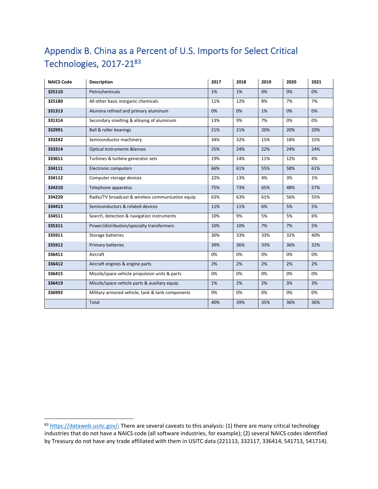# Appendix B. China as a Percent of U.S. Imports for Select Critical Technologies, 2017-21<sup>83</sup>

| <b>NAICS Code</b> | <b>Description</b>                                |     | 2018 | 2019 | 2020 | 2021 |
|-------------------|---------------------------------------------------|-----|------|------|------|------|
| 325110            | Petrochemicals                                    | 1%  | 1%   | 0%   | 0%   | 0%   |
| 325180            | All other basic inorganic chemicals<br>11%        |     | 12%  | 8%   | 7%   | 7%   |
| 331313            | Alumina refined and primary aluminum              | 0%  | 0%   | 1%   | 0%   | 0%   |
| 331314            | Secondary smelting & alloying of aluminum         | 13% | 9%   | 7%   | 0%   | 0%   |
| 332991            | <b>Ball &amp; roller bearings</b>                 | 21% | 21%  | 20%  | 20%  | 20%  |
| 333242            | Semiconductor machinery                           | 34% | 32%  | 15%  | 18%  | 15%  |
| 333314            | Optical instruments &lenses                       | 25% | 24%  | 22%  | 24%  | 24%  |
| 333611            | Turbines & turbine generator sets                 | 19% | 14%  | 11%  | 12%  | 4%   |
| 334111            | <b>Electronic computers</b>                       | 66% | 61%  | 55%  | 58%  | 61%  |
| 334112            | Computer storage devices                          | 22% | 13%  | 4%   | 3%   | 1%   |
| 334210            | Telephone apparatus                               | 75% | 73%  | 65%  | 48%  | 57%  |
| 334220            | Radio/TV broadcast & wireless communication equip | 63% | 63%  | 61%  | 56%  | 55%  |
| 334413            | Semiconductors & related devices                  | 11% | 11%  | 6%   | 5%   | 5%   |
| 334511            | Search, detection & navigation instruments        | 10% | 9%   | 5%   | 5%   | 6%   |
| 335311            | Power/distribution/specialty transformers         | 10% | 10%  | 7%   | 7%   | 5%   |
| 335911            | Storage batteries                                 | 30% | 33%  | 33%  | 32%  | 40%  |
| 335912            | Primary batteries                                 | 39% | 36%  | 33%  | 36%  | 32%  |
| 336411            | Aircraft                                          | 0%  | 0%   | 0%   | 0%   | 0%   |
| 336412            | Aircraft engines & engine parts                   | 2%  | 2%   | 2%   | 2%   | 2%   |
| 336415            | Missile/space vehicle propulsion units & parts    | 0%  | 0%   | 0%   | 0%   | 0%   |
| 336419            | Missile/space vehicle parts & auxiliary equip.    | 1%  | 2%   | 2%   | 3%   | 3%   |
| 336992            | Military armored vehicle, tank & tank components  | 0%  | 0%   | 0%   | 0%   | 0%   |
|                   | Total                                             | 40% | 39%  | 35%  | 36%  | 36%  |

[https://dataweb.usitc.gov/;](https://dataweb.usitc.gov/) There are several caveats to this analysis: (1) there are many critical technology industries that do not have a NAICS code (all software industries, for example); (2) several NAICS codes identified by Treasury do not have any trade affiliated with them in USITC data (221113, 332117, 336414, 541713, 541714).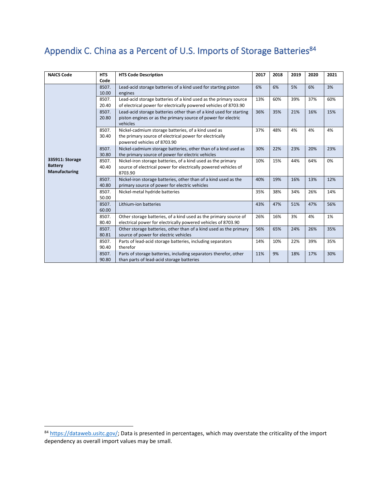### Appendix C. China as a Percent of U.S. Imports of Storage Batteries<sup>84</sup>

| <b>NAICS Code</b>                      | <b>HTS</b> | <b>HTS Code Description</b>                                                            |     | 2018 | 2019 | 2020 | 2021 |
|----------------------------------------|------------|----------------------------------------------------------------------------------------|-----|------|------|------|------|
|                                        | Code       |                                                                                        |     |      |      |      |      |
|                                        | 8507.      | Lead-acid storage batteries of a kind used for starting piston                         | 6%  | 6%   | 5%   | 6%   | 3%   |
|                                        | 10.00      | engines                                                                                |     |      |      |      |      |
|                                        | 8507.      | Lead-acid storage batteries of a kind used as the primary source                       | 13% | 60%  | 39%  | 37%  | 60%  |
|                                        | 20.40      | of electrical power for electrically powered vehicles of 8703.90                       |     |      |      |      |      |
|                                        | 8507.      | Lead-acid storage batteries other than of a kind used for starting                     | 36% | 35%  | 21%  | 16%  | 15%  |
|                                        | 20.80      | piston engines or as the primary source of power for electric<br>vehicles              |     |      |      |      |      |
|                                        | 8507.      | Nickel-cadmium storage batteries, of a kind used as                                    | 37% | 48%  | 4%   | 4%   | 4%   |
|                                        | 30.40      | the primary source of electrical power for electrically<br>powered vehicles of 8703.90 |     |      |      |      |      |
|                                        | 8507.      | Nickel-cadmium storage batteries, other than of a kind used as                         | 30% | 22%  | 23%  | 20%  | 23%  |
|                                        | 30.80      | the primary source of power for electric vehicles                                      |     |      |      |      |      |
| 335911: Storage                        | 8507.      | Nickel-iron storage batteries, of a kind used as the primary                           | 10% | 15%  | 44%  | 64%  | 0%   |
| <b>Battery</b><br><b>Manufacturing</b> | 40.40      | source of electrical power for electrically powered vehicles of<br>8703.90             |     |      |      |      |      |
|                                        | 8507.      | Nickel-iron storage batteries, other than of a kind used as the                        | 40% | 19%  | 16%  | 13%  | 12%  |
|                                        | 40.80      | primary source of power for electric vehicles                                          |     |      |      |      |      |
|                                        | 8507.      | Nickel-metal hydride batteries                                                         | 35% | 38%  | 34%  | 26%  | 14%  |
|                                        | 50.00      |                                                                                        |     |      |      |      |      |
|                                        | 8507.      | Lithium-ion batteries                                                                  | 43% | 47%  | 51%  | 47%  | 56%  |
|                                        | 60.00      |                                                                                        |     |      |      |      |      |
|                                        | 8507.      | Other storage batteries, of a kind used as the primary source of                       | 26% | 16%  | 3%   | 4%   | 1%   |
|                                        | 80.40      | electrical power for electrically powered vehicles of 8703.90                          |     |      |      |      |      |
|                                        | 8507.      | Other storage batteries, other than of a kind used as the primary                      | 56% | 65%  | 24%  | 26%  | 35%  |
|                                        | 80.81      | source of power for electric vehicles                                                  |     |      |      |      |      |
|                                        | 8507.      | Parts of lead-acid storage batteries, including separators                             | 14% | 10%  | 22%  | 39%  | 35%  |
|                                        | 90.40      | therefor                                                                               |     |      |      |      |      |
|                                        | 8507.      | Parts of storage batteries, including separators therefor, other                       | 11% | 9%   | 18%  | 17%  | 30%  |
|                                        | 90.80      | than parts of lead-acid storage batteries                                              |     |      |      |      |      |

<sup>84</sup> [https://dataweb.usitc.gov/;](https://dataweb.usitc.gov/) Data is presented in percentages, which may overstate the criticality of the import dependency as overall import values may be small.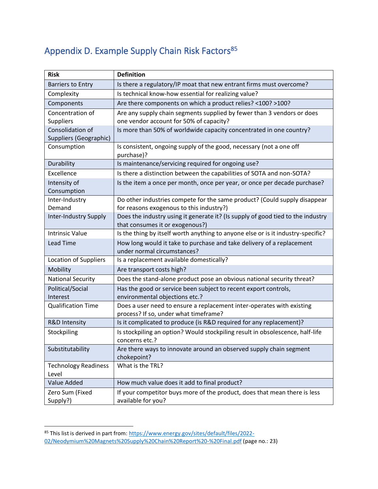## Appendix D. Example Supply Chain Risk Factors<sup>85</sup>

| <b>Risk</b>                                | <b>Definition</b>                                                                                                  |  |  |  |  |
|--------------------------------------------|--------------------------------------------------------------------------------------------------------------------|--|--|--|--|
| <b>Barriers to Entry</b>                   | Is there a regulatory/IP moat that new entrant firms must overcome?                                                |  |  |  |  |
| Complexity                                 | Is technical know-how essential for realizing value?                                                               |  |  |  |  |
| Components                                 | Are there components on which a product relies? <100? >100?                                                        |  |  |  |  |
| Concentration of<br>Suppliers              | Are any supply chain segments supplied by fewer than 3 vendors or does<br>one vendor account for 50% of capacity?  |  |  |  |  |
| Consolidation of<br>Suppliers (Geographic) | Is more than 50% of worldwide capacity concentrated in one country?                                                |  |  |  |  |
| Consumption                                | Is consistent, ongoing supply of the good, necessary (not a one off<br>purchase)?                                  |  |  |  |  |
| Durability                                 | Is maintenance/servicing required for ongoing use?                                                                 |  |  |  |  |
| Excellence                                 | Is there a distinction between the capabilities of SOTA and non-SOTA?                                              |  |  |  |  |
| Intensity of<br>Consumption                | Is the item a once per month, once per year, or once per decade purchase?                                          |  |  |  |  |
| Inter-Industry                             | Do other industries compete for the same product? (Could supply disappear                                          |  |  |  |  |
| Demand                                     | for reasons exogenous to this industry?)                                                                           |  |  |  |  |
| <b>Inter-Industry Supply</b>               | Does the industry using it generate it? (Is supply of good tied to the industry<br>that consumes it or exogenous?) |  |  |  |  |
| <b>Intrinsic Value</b>                     | Is the thing by itself worth anything to anyone else or is it industry-specific?                                   |  |  |  |  |
| <b>Lead Time</b>                           | How long would it take to purchase and take delivery of a replacement<br>under normal circumstances?               |  |  |  |  |
| <b>Location of Suppliers</b>               | Is a replacement available domestically?                                                                           |  |  |  |  |
| Mobility                                   | Are transport costs high?                                                                                          |  |  |  |  |
| <b>National Security</b>                   | Does the stand-alone product pose an obvious national security threat?                                             |  |  |  |  |
| Political/Social<br>Interest               | Has the good or service been subject to recent export controls,<br>environmental objections etc.?                  |  |  |  |  |
| <b>Qualification Time</b>                  | Does a user need to ensure a replacement inter-operates with existing<br>process? If so, under what timeframe?     |  |  |  |  |
| <b>R&amp;D Intensity</b>                   | Is it complicated to produce (is R&D required for any replacement)?                                                |  |  |  |  |
| Stockpiling                                | Is stockpiling an option? Would stockpiling result in obsolescence, half-life<br>concerns etc.?                    |  |  |  |  |
| Substitutability                           | Are there ways to innovate around an observed supply chain segment<br>chokepoint?                                  |  |  |  |  |
| <b>Technology Readiness</b><br>Level       | What is the TRL?                                                                                                   |  |  |  |  |
| Value Added                                | How much value does it add to final product?                                                                       |  |  |  |  |
| Zero Sum (Fixed<br>Supply?)                | If your competitor buys more of the product, does that mean there is less<br>available for you?                    |  |  |  |  |

<sup>&</sup>lt;sup>85</sup> This list is derived in part from: <u>https://www.energy.gov/sites/default/files/2022-</u> [02/Neodymium%20Magnets%20Supply%20Chain%20Report%20-%20Final.pdf](https://www.energy.gov/sites/default/files/2022-02/Neodymium%20Magnets%20Supply%20Chain%20Report%20-%20Final.pdf) (page no.: 23)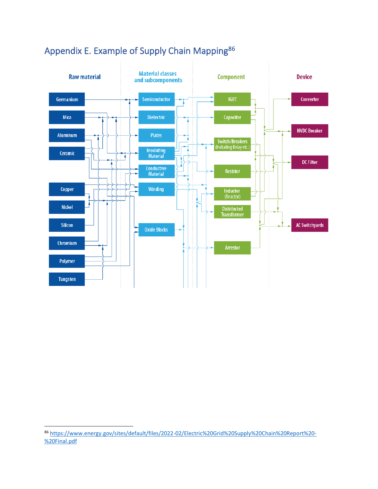

### Appendix E. Example of Supply Chain Mapping<sup>86</sup>

<sup>86</sup> [https://www.energy.gov/sites/default/files/2022-02/Electric%20Grid%20Supply%20Chain%20Report%20-](https://www.energy.gov/sites/default/files/2022-02/Electric%20Grid%20Supply%20Chain%20Report%20-%20Final.pdf) [%20Final.pdf](https://www.energy.gov/sites/default/files/2022-02/Electric%20Grid%20Supply%20Chain%20Report%20-%20Final.pdf)